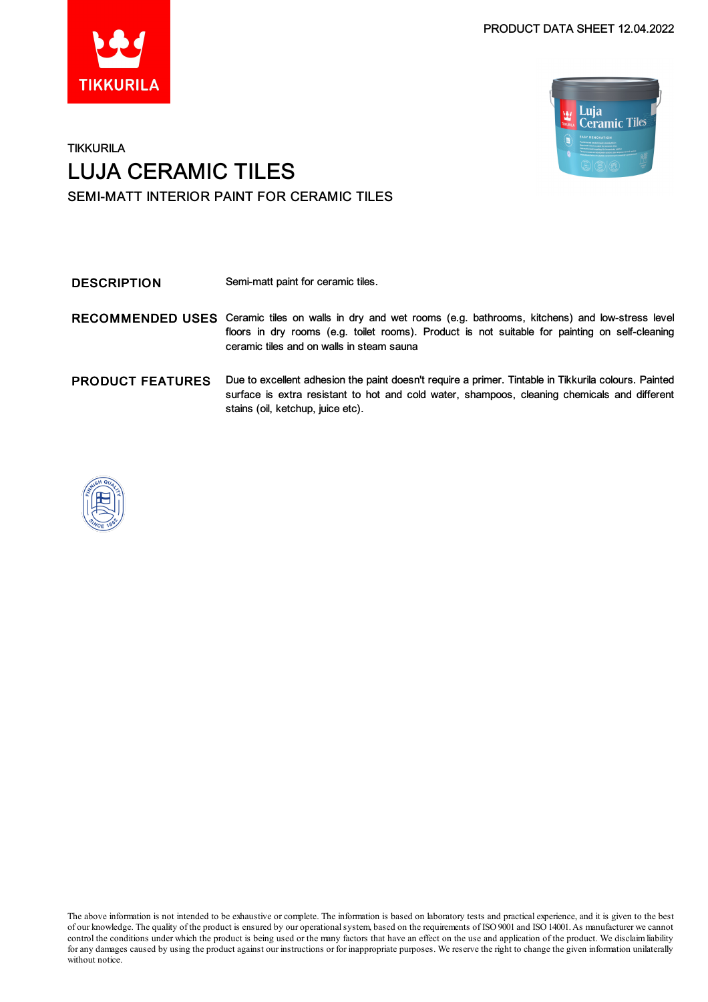



# **TIKKURILA** LUJA CERAMIC TILES SEMI-MATT INTERIOR PAINT FOR CERAMIC TILES

DESCRIPTION Semi-matt paint for ceramic tiles.

| RECOMMENDED USES Ceramic tiles on walls in dry and wet rooms (e.g. bathrooms, kitchens) and low-stress level<br>floors in dry rooms (e.g. toilet rooms). Product is not suitable for painting on self-cleaning<br>ceramic tiles and on walls in steam sauna |
|-------------------------------------------------------------------------------------------------------------------------------------------------------------------------------------------------------------------------------------------------------------|
|                                                                                                                                                                                                                                                             |

PRODUCT FEATURES Due to excellent adhesion the paint doesn't require a primer. Tintable in Tikkurila colours. Painted surface is extra resistant to hot and cold water, shampoos, cleaning chemicals and different stains (oil, ketchup, juice etc).



The above information is not intended to be exhaustive or complete. The information is based on laboratory tests and practical experience, and it is given to the best of our knowledge. The quality of the product is ensured by our operationalsystem, based on the requirements of ISO9001 and ISO14001.As manufacturer we cannot control the conditions under which the product is being used or the many factors that have an effect on the use and application of the product. We disclaimliability forany damages caused by using the product against our instructions or for inappropriate purposes. We reserve the right to change the given information unilaterally without notice.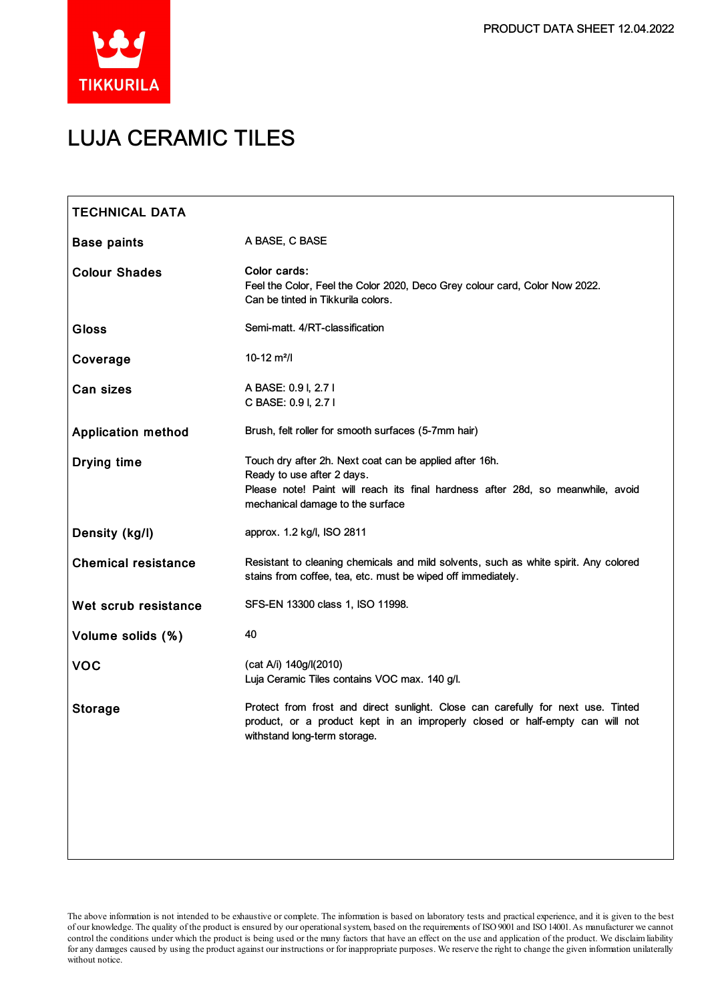

# LUJA CERAMIC TILES

| <b>TECHNICAL DATA</b>      |                                                                                                                                                                                                              |
|----------------------------|--------------------------------------------------------------------------------------------------------------------------------------------------------------------------------------------------------------|
| <b>Base paints</b>         | A BASE, C BASE                                                                                                                                                                                               |
| <b>Colour Shades</b>       | Color cards:<br>Feel the Color, Feel the Color 2020, Deco Grey colour card, Color Now 2022.<br>Can be tinted in Tikkurila colors.                                                                            |
| <b>Gloss</b>               | Semi-matt. 4/RT-classification                                                                                                                                                                               |
| Coverage                   | $10-12$ m <sup>2</sup> /l                                                                                                                                                                                    |
| <b>Can sizes</b>           | A BASE: 0.9 I, 2.7 I<br>C BASE: 0.9 I, 2.7 I                                                                                                                                                                 |
| <b>Application method</b>  | Brush, felt roller for smooth surfaces (5-7mm hair)                                                                                                                                                          |
| <b>Drying time</b>         | Touch dry after 2h. Next coat can be applied after 16h.<br>Ready to use after 2 days.<br>Please note! Paint will reach its final hardness after 28d, so meanwhile, avoid<br>mechanical damage to the surface |
| Density (kg/l)             | approx. 1.2 kg/l, ISO 2811                                                                                                                                                                                   |
| <b>Chemical resistance</b> | Resistant to cleaning chemicals and mild solvents, such as white spirit. Any colored<br>stains from coffee, tea, etc. must be wiped off immediately.                                                         |
| Wet scrub resistance       | SFS-EN 13300 class 1, ISO 11998.                                                                                                                                                                             |
| Volume solids (%)          | 40                                                                                                                                                                                                           |
| <b>VOC</b>                 | (cat A/i) 140g/l(2010)<br>Luja Ceramic Tiles contains VOC max. 140 g/l.                                                                                                                                      |
| <b>Storage</b>             | Protect from frost and direct sunlight. Close can carefully for next use. Tinted<br>product, or a product kept in an improperly closed or half-empty can will not<br>withstand long-term storage.            |
|                            |                                                                                                                                                                                                              |

The above information is not intended to be exhaustive or complete. The information is based on laboratory tests and practical experience, and it is given to the best of our knowledge. The quality of the product is ensured by our operationalsystem, based on the requirements of ISO9001 and ISO14001.As manufacturer we cannot control the conditions under which the product is being used or the many factors that have an effect on the use and application of the product. We disclaimliability for any damages caused by using the product against our instructions or for inappropriate purposes. We reserve the right to change the given information unilaterally without notice.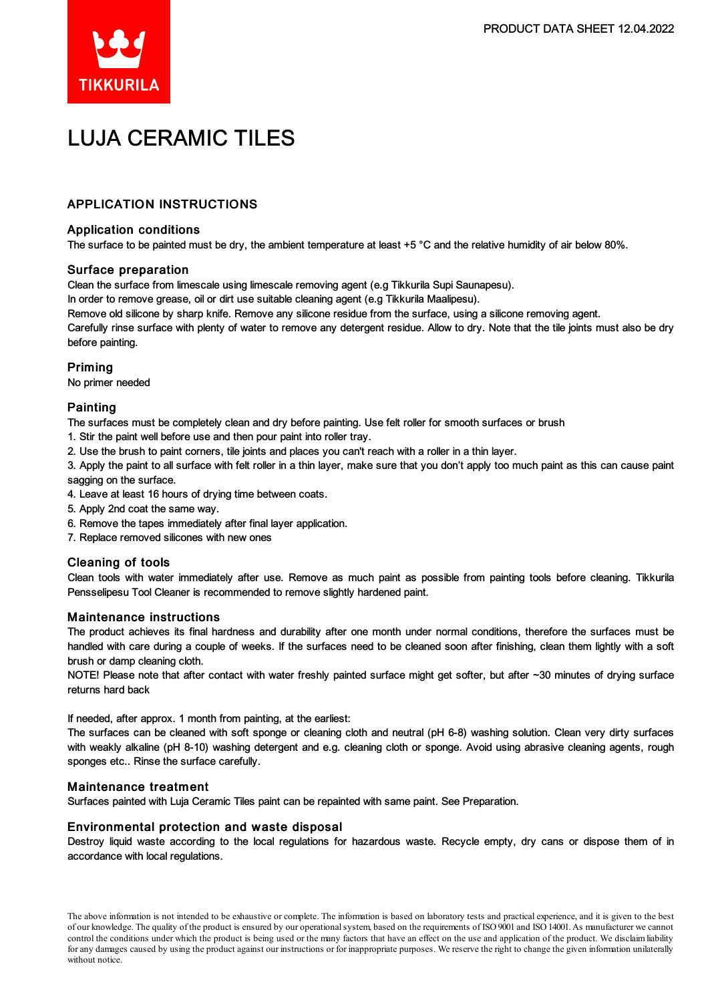

# LUJA CERAMIC TILES

# APPLICATION INSTRUCTIONS

# Application conditions

The surface to be painted must be dry, the ambient temperature at least +5 °C and the relative humidity of air below 80%.

### Surface preparation

Clean the surface from limescale using limescale removing agent (e.g Tikkurila Supi Saunapesu).

In order to remove grease, oil or dirt use suitable cleaning agent (e.g Tikkurila Maalipesu).

Remove old silicone by sharp knife. Remove any silicone residue from the surface, using a silicone removing agent.

Carefully rinse surface with plenty of water to remove any detergent residue. Allow to dry. Note that the tile joints must also be dry before painting.

# Priming

No primer needed

# Painting

The surfaces must be completely clean and dry before painting. Use felt roller for smooth surfaces or brush

- 1. Stir the paint well before use and then pour paint into roller tray.
- 2. Use the brush to paint corners, tile joints and places you can't reach with a roller in a thin layer.

3. Apply the paint to all surface with felt roller in a thin layer, make sure that you don't apply too much paint as this can cause paint sagging on the surface.

- 4. Leave at least 16 hours of drying time between coats.
- 5. Apply 2nd coat the same way.
- 6. Remove the tapes immediately after final layer application.
- 7. Replace removed silicones with new ones

### Cleaning of tools

Clean tools with water immediately after use. Remove as much paint as possible from painting tools before cleaning. Tikkurila Pensselipesu Tool Cleaner is recommended to remove slightly hardened paint.

### Maintenance instructions

The product achieves its final hardness and durability after one month under normal conditions, therefore the surfaces must be handled with care during a couple of weeks. If the surfaces need to be cleaned soon after finishing, clean them lightly with a soft brush or damp cleaning cloth.

NOTE! Please note that after contact with water freshly painted surface might get softer, but after ~30 minutes of drying surface returns hard back

If needed, after approx. 1 month from painting, at the earliest:

The surfaces can be cleaned with soft sponge or cleaning cloth and neutral (pH 6-8) washing solution. Clean very dirty surfaces with weakly alkaline (pH 8-10) washing detergent and e.g. cleaning cloth or sponge. Avoid using abrasive cleaning agents, rough sponges etc.. Rinse the surface carefully.

### Maintenance treatment

Surfaces painted with Luja Ceramic Tiles paint can be repainted with same paint. See Preparation.

### Environmental protection and waste disposal

Destroy liquid waste according to the local regulations for hazardous waste. Recycle empty, dry cans or dispose them of in accordance with local regulations.

The above information is not intended to be exhaustive or complete. The information is based on laboratory tests and practical experience, and it is given to the best of our knowledge. The quality of the product is ensured by our operationalsystem, based on the requirements of ISO9001 and ISO14001.As manufacturer we cannot control the conditions under which the product is being used or the many factors that have an effect on the use and application of the product. We disclaimliability forany damages caused by using the product against our instructions or for inappropriate purposes. We reserve the right to change the given information unilaterally without notice.